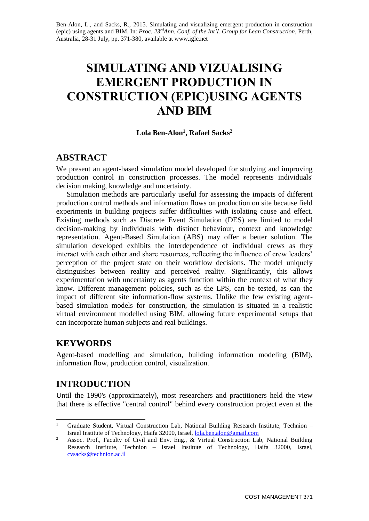Ben-Alon, L., and Sacks, R., 2015. Simulating and visualizing emergent production in construction (epic) using agents and BIM. In: *Proc. 23rdAnn. Conf. of the Int'l. Group for Lean Construction*, Perth, Australia, 28-31 July, pp. 371-380, available at www.iglc.net

# **SIMULATING AND VIZUALISING EMERGENT PRODUCTION IN CONSTRUCTION (EPIC)USING AGENTS AND BIM**

#### **Lola Ben-Alon<sup>1</sup> , Rafael Sacks<sup>2</sup>**

### **ABSTRACT**

We present an agent-based simulation model developed for studying and improving production control in construction processes. The model represents individuals' decision making, knowledge and uncertainty.

Simulation methods are particularly useful for assessing the impacts of different production control methods and information flows on production on site because field experiments in building projects suffer difficulties with isolating cause and effect. Existing methods such as Discrete Event Simulation (DES) are limited to model decision-making by individuals with distinct behaviour, context and knowledge representation. Agent-Based Simulation (ABS) may offer a better solution. The simulation developed exhibits the interdependence of individual crews as they interact with each other and share resources, reflecting the influence of crew leaders' perception of the project state on their workflow decisions. The model uniquely distinguishes between reality and perceived reality. Significantly, this allows experimentation with uncertainty as agents function within the context of what they know. Different management policies, such as the LPS, can be tested, as can the impact of different site information-flow systems. Unlike the few existing agentbased simulation models for construction, the simulation is situated in a realistic virtual environment modelled using BIM, allowing future experimental setups that can incorporate human subjects and real buildings.

# **KEYWORDS**

Agent-based modelling and simulation, building information modeling (BIM), information flow, production control, visualization.

# **INTRODUCTION**

Until the 1990's (approximately), most researchers and practitioners held the view that there is effective "central control" behind every construction project even at the

 $\mathbf{1}$ <sup>1</sup> Graduate Student, Virtual Construction Lab, National Building Research Institute, Technion – Israel Institute of Technology, Haifa 32000, Israel, [lola.ben.alon@gmail.com](mailto:lola.ben.alon@gmail.com)

<sup>&</sup>lt;sup>2</sup> Assoc. Prof., Faculty of Civil and Env. Eng., & Virtual Construction Lab, National Building Research Institute, Technion – Israel Institute of Technology, Haifa 32000, Israel, [cvsacks@technion.ac.il](mailto:cvsacks@technion.ac.il)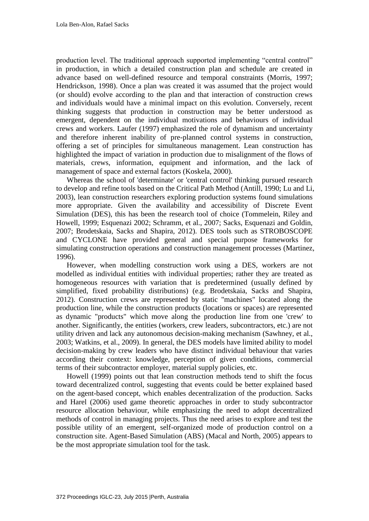production level. The traditional approach supported implementing "central control" in production, in which a detailed construction plan and schedule are created in advance based on well-defined resource and temporal constraints (Morris, 1997; Hendrickson, 1998). Once a plan was created it was assumed that the project would (or should) evolve according to the plan and that interaction of construction crews and individuals would have a minimal impact on this evolution. Conversely, recent thinking suggests that production in construction may be better understood as emergent, dependent on the individual motivations and behaviours of individual crews and workers. Laufer (1997) emphasized the role of dynamism and uncertainty and therefore inherent inability of pre-planned control systems in construction, offering a set of principles for simultaneous management. Lean construction has highlighted the impact of variation in production due to misalignment of the flows of materials, crews, information, equipment and information, and the lack of management of space and external factors (Koskela, 2000).

Whereas the school of 'determinate' or 'central control' thinking pursued research to develop and refine tools based on the Critical Path Method (Antill, 1990; Lu and Li, 2003), lean construction researchers exploring production systems found simulations more appropriate. Given the availability and accessibility of Discrete Event Simulation (DES), this has been the research tool of choice (Tommelein, Riley and Howell, 1999; Esquenazi 2002; Schramm, et al., 2007; Sacks, Esquenazi and Goldin, 2007; Brodetskaia, Sacks and Shapira, 2012). DES tools such as STROBOSCOPE and CYCLONE have provided general and special purpose frameworks for simulating construction operations and construction management processes (Martinez, 1996).

However, when modelling construction work using a DES, workers are not modelled as individual entities with individual properties; rather they are treated as homogeneous resources with variation that is predetermined (usually defined by simplified, fixed probability distributions) (e.g. Brodetskaia, Sacks and Shapira, 2012). Construction crews are represented by static "machines" located along the production line, while the construction products (locations or spaces) are represented as dynamic "products" which move along the production line from one 'crew' to another. Significantly, the entities (workers, crew leaders, subcontractors, etc.) are not utility driven and lack any autonomous decision-making mechanism (Sawhney, et al., 2003; Watkins, et al., 2009). In general, the DES models have limited ability to model decision-making by crew leaders who have distinct individual behaviour that varies according their context: knowledge, perception of given conditions, commercial terms of their subcontractor employer, material supply policies, etc.

Howell (1999) points out that lean construction methods tend to shift the focus toward decentralized control, suggesting that events could be better explained based on the agent-based concept, which enables decentralization of the production. Sacks and Harel (2006) used game theoretic approaches in order to study subcontractor resource allocation behaviour, while emphasizing the need to adopt decentralized methods of control in managing projects. Thus the need arises to explore and test the possible utility of an emergent, self-organized mode of production control on a construction site. Agent-Based Simulation (ABS) (Macal and North, 2005) appears to be the most appropriate simulation tool for the task.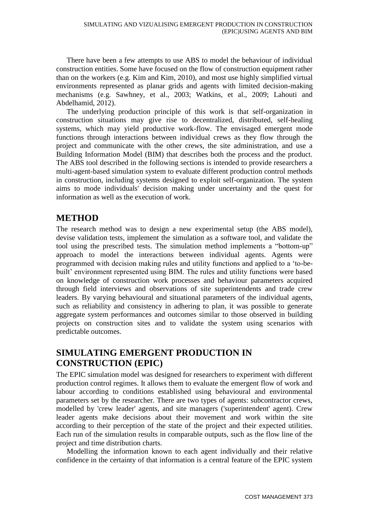There have been a few attempts to use ABS to model the behaviour of individual construction entities. Some have focused on the flow of construction equipment rather than on the workers (e.g. Kim and Kim, 2010), and most use highly simplified virtual environments represented as planar grids and agents with limited decision-making mechanisms (e.g. Sawhney, et al., 2003; Watkins, et al., 2009; Lahouti and Abdelhamid, 2012).

The underlying production principle of this work is that self-organization in construction situations may give rise to decentralized, distributed, self-healing systems, which may yield productive work-flow. The envisaged emergent mode functions through interactions between individual crews as they flow through the project and communicate with the other crews, the site administration, and use a Building Information Model (BIM) that describes both the process and the product. The ABS tool described in the following sections is intended to provide researchers a multi-agent-based simulation system to evaluate different production control methods in construction, including systems designed to exploit self-organization. The system aims to mode individuals' decision making under uncertainty and the quest for information as well as the execution of work.

# **METHOD**

The research method was to design a new experimental setup (the ABS model), devise validation tests, implement the simulation as a software tool, and validate the tool using the prescribed tests. The simulation method implements a "bottom-up" approach to model the interactions between individual agents. Agents were programmed with decision making rules and utility functions and applied to a 'to-bebuilt' environment represented using BIM. The rules and utility functions were based on knowledge of construction work processes and behaviour parameters acquired through field interviews and observations of site superintendents and trade crew leaders. By varying behavioural and situational parameters of the individual agents, such as reliability and consistency in adhering to plan, it was possible to generate aggregate system performances and outcomes similar to those observed in building projects on construction sites and to validate the system using scenarios with predictable outcomes.

# **SIMULATING EMERGENT PRODUCTION IN CONSTRUCTION (EPIC)**

The EPIC simulation model was designed for researchers to experiment with different production control regimes. It allows them to evaluate the emergent flow of work and labour according to conditions established using behavioural and environmental parameters set by the researcher. There are two types of agents: subcontractor crews, modelled by 'crew leader' agents, and site managers ('superintendent' agent). Crew leader agents make decisions about their movement and work within the site according to their perception of the state of the project and their expected utilities. Each run of the simulation results in comparable outputs, such as the flow line of the project and time distribution charts.

Modelling the information known to each agent individually and their relative confidence in the certainty of that information is a central feature of the EPIC system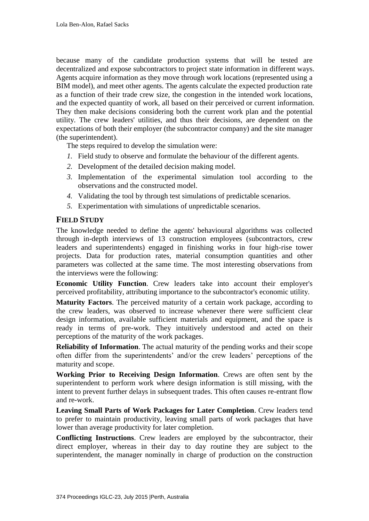because many of the candidate production systems that will be tested are decentralized and expose subcontractors to project state information in different ways. Agents acquire information as they move through work locations (represented using a BIM model), and meet other agents. The agents calculate the expected production rate as a function of their trade crew size, the congestion in the intended work locations, and the expected quantity of work, all based on their perceived or current information. They then make decisions considering both the current work plan and the potential utility. The crew leaders' utilities, and thus their decisions, are dependent on the expectations of both their employer (the subcontractor company) and the site manager (the superintendent).

The steps required to develop the simulation were:

- *1.* Field study to observe and formulate the behaviour of the different agents.
- *2.* Development of the detailed decision making model.
- *3.* Implementation of the experimental simulation tool according to the observations and the constructed model.
- *4.* Validating the tool by through test simulations of predictable scenarios.
- *5.* Experimentation with simulations of unpredictable scenarios.

#### **FIELD STUDY**

The knowledge needed to define the agents' behavioural algorithms was collected through in-depth interviews of 13 construction employees (subcontractors, crew leaders and superintendents) engaged in finishing works in four high-rise tower projects. Data for production rates, material consumption quantities and other parameters was collected at the same time. The most interesting observations from the interviews were the following:

**Economic Utility Function**. Crew leaders take into account their employer's perceived profitability, attributing importance to the subcontractor's economic utility.

**Maturity Factors**. The perceived maturity of a certain work package, according to the crew leaders, was observed to increase whenever there were sufficient clear design information, available sufficient materials and equipment, and the space is ready in terms of pre-work. They intuitively understood and acted on their perceptions of the maturity of the work packages.

**Reliability of Information**. The actual maturity of the pending works and their scope often differ from the superintendents' and/or the crew leaders' perceptions of the maturity and scope.

**Working Prior to Receiving Design Information**. Crews are often sent by the superintendent to perform work where design information is still missing, with the intent to prevent further delays in subsequent trades. This often causes re-entrant flow and re-work.

**Leaving Small Parts of Work Packages for Later Completion**. Crew leaders tend to prefer to maintain productivity, leaving small parts of work packages that have lower than average productivity for later completion.

**Conflicting Instructions**. Crew leaders are employed by the subcontractor, their direct employer, whereas in their day to day routine they are subject to the superintendent, the manager nominally in charge of production on the construction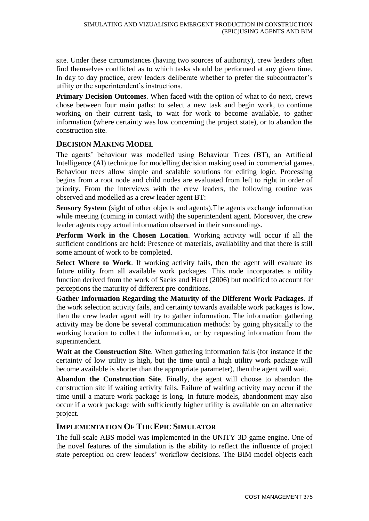site. Under these circumstances (having two sources of authority), crew leaders often find themselves conflicted as to which tasks should be performed at any given time. In day to day practice, crew leaders deliberate whether to prefer the subcontractor's utility or the superintendent's instructions.

**Primary Decision Outcomes**. When faced with the option of what to do next, crews chose between four main paths: to select a new task and begin work, to continue working on their current task, to wait for work to become available, to gather information (where certainty was low concerning the project state), or to abandon the construction site.

### **DECISION MAKING MODEL**

The agents' behaviour was modelled using Behaviour Trees (BT), an Artificial Intelligence (AI) technique for modelling decision making used in commercial games. Behaviour trees allow simple and scalable solutions for editing logic. Processing begins from a root node and child nodes are evaluated from left to right in order of priority. From the interviews with the crew leaders, the following routine was observed and modelled as a crew leader agent BT:

**Sensory System** (sight of other objects and agents).The agents exchange information while meeting (coming in contact with) the superintendent agent. Moreover, the crew leader agents copy actual information observed in their surroundings.

**Perform Work in the Chosen Location**. Working activity will occur if all the sufficient conditions are held: Presence of materials, availability and that there is still some amount of work to be completed.

**Select Where to Work**. If working activity fails, then the agent will evaluate its future utility from all available work packages. This node incorporates a utility function derived from the work of Sacks and Harel (2006) but modified to account for perceptions the maturity of different pre-conditions.

**Gather Information Regarding the Maturity of the Different Work Packages**. If the work selection activity fails, and certainty towards available work packages is low, then the crew leader agent will try to gather information. The information gathering activity may be done be several communication methods: by going physically to the working location to collect the information, or by requesting information from the superintendent.

**Wait at the Construction Site**. When gathering information fails (for instance if the certainty of low utility is high, but the time until a high utility work package will become available is shorter than the appropriate parameter), then the agent will wait.

**Abandon the Construction Site**. Finally, the agent will choose to abandon the construction site if waiting activity fails. Failure of waiting activity may occur if the time until a mature work package is long. In future models, abandonment may also occur if a work package with sufficiently higher utility is available on an alternative project.

### **IMPLEMENTATION OF THE EPIC SIMULATOR**

The full-scale ABS model was implemented in the UNITY 3D game engine. One of the novel features of the simulation is the ability to reflect the influence of project state perception on crew leaders' workflow decisions. The BIM model objects each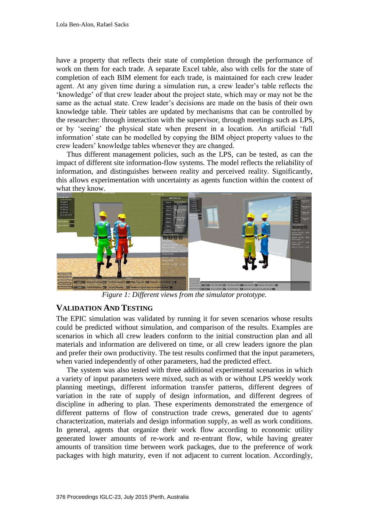have a property that reflects their state of completion through the performance of work on them for each trade. A separate Excel table, also with cells for the state of completion of each BIM element for each trade, is maintained for each crew leader agent. At any given time during a simulation run, a crew leader's table reflects the 'knowledge' of that crew leader about the project state, which may or may not be the same as the actual state. Crew leader's decisions are made on the basis of their own knowledge table. Their tables are updated by mechanisms that can be controlled by the researcher: through interaction with the supervisor, through meetings such as LPS, or by 'seeing' the physical state when present in a location. An artificial 'full information' state can be modelled by copying the BIM object property values to the crew leaders' knowledge tables whenever they are changed.

Thus different management policies, such as the LPS, can be tested, as can the impact of different site information-flow systems. The model reflects the reliability of information, and distinguishes between reality and perceived reality. Significantly, this allows experimentation with uncertainty as agents function within the context of what they know.



*Figure 1: Different views from the simulator prototype.*

#### **VALIDATION AND TESTING**

The EPIC simulation was validated by running it for seven scenarios whose results could be predicted without simulation, and comparison of the results. Examples are scenarios in which all crew leaders conform to the initial construction plan and all materials and information are delivered on time, or all crew leaders ignore the plan and prefer their own productivity. The test results confirmed that the input parameters, when varied independently of other parameters, had the predicted effect.

The system was also tested with three additional experimental scenarios in which a variety of input parameters were mixed, such as with or without LPS weekly work planning meetings, different information transfer patterns, different degrees of variation in the rate of supply of design information, and different degrees of discipline in adhering to plan. These experiments demonstrated the emergence of different patterns of flow of construction trade crews, generated due to agents' characterization, materials and design information supply, as well as work conditions. In general, agents that organize their work flow according to economic utility generated lower amounts of re-work and re-entrant flow, while having greater amounts of transition time between work packages, due to the preference of work packages with high maturity, even if not adjacent to current location. Accordingly,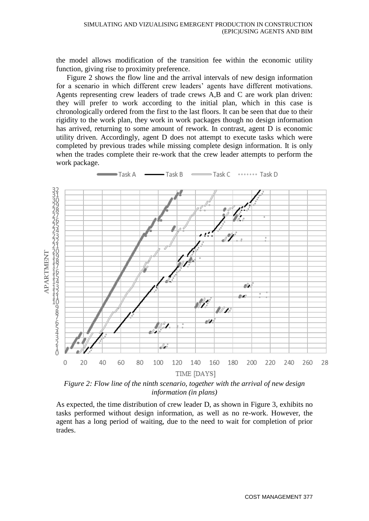the model allows modification of the transition fee within the economic utility function, giving rise to proximity preference.

Figure 2 shows the flow line and the arrival intervals of new design information for a scenario in which different crew leaders' agents have different motivations. Agents representing crew leaders of trade crews A,B and C are work plan driven: they will prefer to work according to the initial plan, which in this case is chronologically ordered from the first to the last floors. It can be seen that due to their rigidity to the work plan, they work in work packages though no design information has arrived, returning to some amount of rework. In contrast, agent D is economic utility driven. Accordingly, agent D does not attempt to execute tasks which were completed by previous trades while missing complete design information. It is only when the trades complete their re-work that the crew leader attempts to perform the work package.



*Figure 2: Flow line of the ninth scenario, together with the arrival of new design information (in plans)*

As expected, the time distribution of crew leader D, as shown in Figure 3, exhibits no tasks performed without design information, as well as no re-work. However, the agent has a long period of waiting, due to the need to wait for completion of prior trades.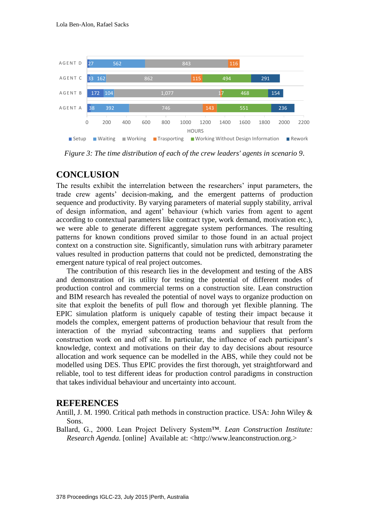

*Figure 3: The time distribution of each of the crew leaders' agents in scenario 9*.

### **CONCLUSION**

The results exhibit the interrelation between the researchers' input parameters, the trade crew agents' decision-making, and the emergent patterns of production sequence and productivity. By varying parameters of material supply stability, arrival of design information, and agent' behaviour (which varies from agent to agent according to contextual parameters like contract type, work demand, motivation etc.), we were able to generate different aggregate system performances. The resulting patterns for known conditions proved similar to those found in an actual project context on a construction site. Significantly, simulation runs with arbitrary parameter values resulted in production patterns that could not be predicted, demonstrating the emergent nature typical of real project outcomes.

The contribution of this research lies in the development and testing of the ABS and demonstration of its utility for testing the potential of different modes of production control and commercial terms on a construction site. Lean construction and BIM research has revealed the potential of novel ways to organize production on site that exploit the benefits of pull flow and thorough yet flexible planning. The EPIC simulation platform is uniquely capable of testing their impact because it models the complex, emergent patterns of production behaviour that result from the interaction of the myriad subcontracting teams and suppliers that perform construction work on and off site. In particular, the influence of each participant's knowledge, context and motivations on their day to day decisions about resource allocation and work sequence can be modelled in the ABS, while they could not be modelled using DES. Thus EPIC provides the first thorough, yet straightforward and reliable, tool to test different ideas for production control paradigms in construction that takes individual behaviour and uncertainty into account.

### **REFERENCES**

Antill, J. M. 1990. Critical path methods in construction practice. USA: John Wiley & Sons.

Ballard, G., 2000. Lean Project Delivery System™. *Lean Construction Institute: Research Agenda.* [online] Available at: [<http://www.leanconstruction.org.](http://www.leanconstruction.org/)>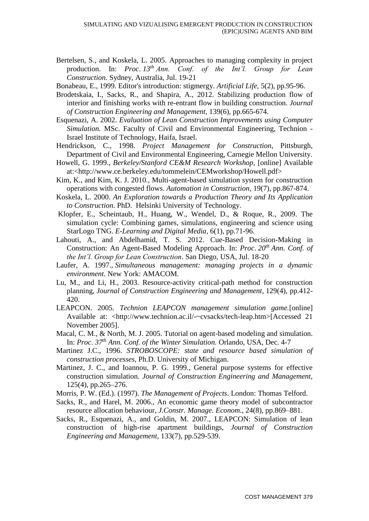Bertelsen, S., and Koskela, L. 2005. Approaches to managing complexity in project production. In: *Proc*. *13th Ann. Conf. of the Int'l. Group for Lean Construction*. Sydney, Australia, Jul. 19-21

Bonabeau, E., 1999. Editor's introduction: stigmergy. *Artificial Life,* 5(2), pp.95-96.

- Brodetskaia, I., Sacks, R., and Shapira, A., 2012. Stabilizing production flow of interior and finishing works with re-entrant flow in building construction. *Journal of Construction Engineering and Management,* 139(6), pp.665-674.
- Esquenazi, A. 2002. *Evaluation of Lean Construction Improvements using Computer Simulation.* MSc. Faculty of Civil and Environmental Engineering, Technion - Israel Institute of Technology, Haifa, Israel.
- Hendrickson, C., 1998. *Project Management for Construction,* Pittsburgh, Department of Civil and Environmental Engineering, Carnegie Mellon University.
- Howell, G. 1999., *Berkeley/Stanford CE&M Research Workshop,* [online] Available at:<http://www.ce.berkeley.edu/tommelein/CEMworkshop/Howell.pdf>
- Kim, K., and Kim, K. J. 2010., Multi-agent-based simulation system for construction operations with congested flows. *Automation in Construction*, 19(7), pp.867-874.
- Koskela, L. 2000. *An Exploration towards a Production Theory and Its Application to Construction.* PhD. Helsinki University of Technology.
- Klopfer, E., Scheintaub, H., Huang, W., Wendel, D., & Roque, R., 2009. The simulation cycle: Combining games, simulations, engineering and science using StarLogo TNG. *E-Learning and Digital Media*, 6(1), pp.71-96.
- Lahouti, A., and Abdelhamid, T. S. 2012. Cue-Based Decision-Making in Construction: An Agent-Based Modeling Approach. In: *Proc*. *20th Ann. Conf. of the Int'l. Group for Lean Construction*. San Diego, USA, Jul. 18-20
- Laufer, A. 1997., *Simultaneous management: managing projects in a dynamic environment.* New York: AMACOM.
- Lu, M., and Li, H., 2003. Resource-activity critical-path method for construction planning, *Journal of Construction Engineering and Management*, 129(4), pp.412- 420.
- LEAPCON. 2005. *Technion LEAPCON management simulation game.*[online] Available at: [<http://www.technion.ac.il/-~cvsacks/tech-leap.htm>](http://www.technion.ac.il/-~cvsacks/tech-leap.htm)[Accessed 21 November 2005].
- Macal, C. M., & North, M. J. 2005. Tutorial on agent-based modeling and simulation. In: *Proc*. *37th Ann. Conf. of the Winter Simulation.* Orlando, USA, Dec. 4-7
- Martinez J.C., 1996. *STROBOSCOPE: state and resource based simulation of construction processes*, Ph.D. University of Michigan.
- Martinez, J. C., and Ioannou, P. G. 1999., General purpose systems for effective construction simulation*. Journal of Construction Engineering and Management,* 125(4), pp.265–276.
- Morris, P. W. (Ed.). (1997). *The Management of Projects*. London: Thomas Telford.
- Sacks, R., and Harel, M. 2006., An economic game theory model of subcontractor resource allocation behaviour, *J.Constr. Manage. Econom.,* 24(8), pp.869–881.
- Sacks, R., Esquenazi, A., and Goldin, M. 2007., LEAPCON: Simulation of lean construction of high-rise apartment buildings, *Journal of Construction Engineering and Management,* 133(7), pp.529-539.